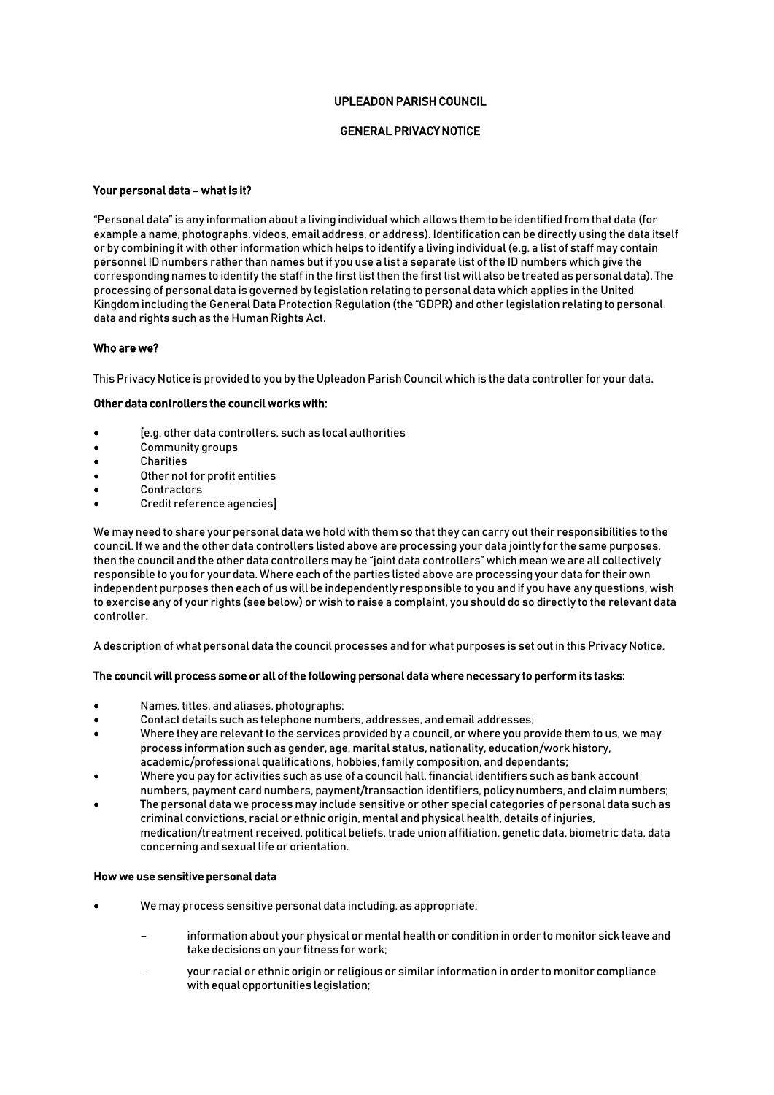# UPLEADON PARISH COUNCIL

# GENERAL PRIVACY NOTICE

## Your personal data – what is it?

"Personal data" is any information about a living individual which allows them to be identified from that data (for example a name, photographs, videos, email address, or address). Identification can be directly using the data itself or by combining it with other information which helps to identify a living individual (e.g. a list of staff may contain personnel ID numbers rather than names but if you use a list a separate list of the ID numbers which give the corresponding names to identify the staff in the first list then the first list will also be treated as personal data). The processing of personal data is governed by legislation relating to personal data which applies in the United Kingdom including the General Data Protection Regulation (the "GDPR) and other legislation relating to personal data and rights such as the Human Rights Act.

### Who are we?

This Privacy Notice is provided to you by the Upleadon Parish Council which is the data controller for your data.

## Other data controllers the council works with:

- [e.g. other data controllers, such as local authorities
- Community groups
- Charities
- Other not for profit entities
- **Contractors**
- Credit reference agencies]

We may need to share your personal data we hold with them so that they can carry out their responsibilities to the council. If we and the other data controllers listed above are processing your data jointly for the same purposes, then the council and the other data controllers may be "joint data controllers" which mean we are all collectively responsible to you for your data. Where each of the parties listed above are processing your data for their own independent purposes then each of us will be independently responsible to you and if you have any questions, wish to exercise any of your rights (see below) or wish to raise a complaint, you should do so directly to the relevant data controller.

A description of what personal data the council processes and for what purposes is set out in this Privacy Notice.

#### The council will process some or all of the following personal data where necessary to perform its tasks:

- Names, titles, and aliases, photographs;
- Contact details such as telephone numbers, addresses, and email addresses;
- Where they are relevant to the services provided by a council, or where you provide them to us, we may process information such as gender, age, marital status, nationality, education/work history, academic/professional qualifications, hobbies, family composition, and dependants;
- Where you pay for activities such as use of a council hall, financial identifiers such as bank account numbers, payment card numbers, payment/transaction identifiers, policy numbers, and claim numbers;
- The personal data we process may include sensitive or other special categories of personal data such as criminal convictions, racial or ethnic origin, mental and physical health, details of injuries, medication/treatment received, political beliefs, trade union affiliation, genetic data, biometric data, data concerning and sexual life or orientation.

#### How we use sensitive personal data

- We may process sensitive personal data including, as appropriate:
	- information about your physical or mental health or condition in order to monitor sick leave and take decisions on your fitness for work;
	- your racial or ethnic origin or religious or similar information in order to monitor compliance with equal opportunities legislation;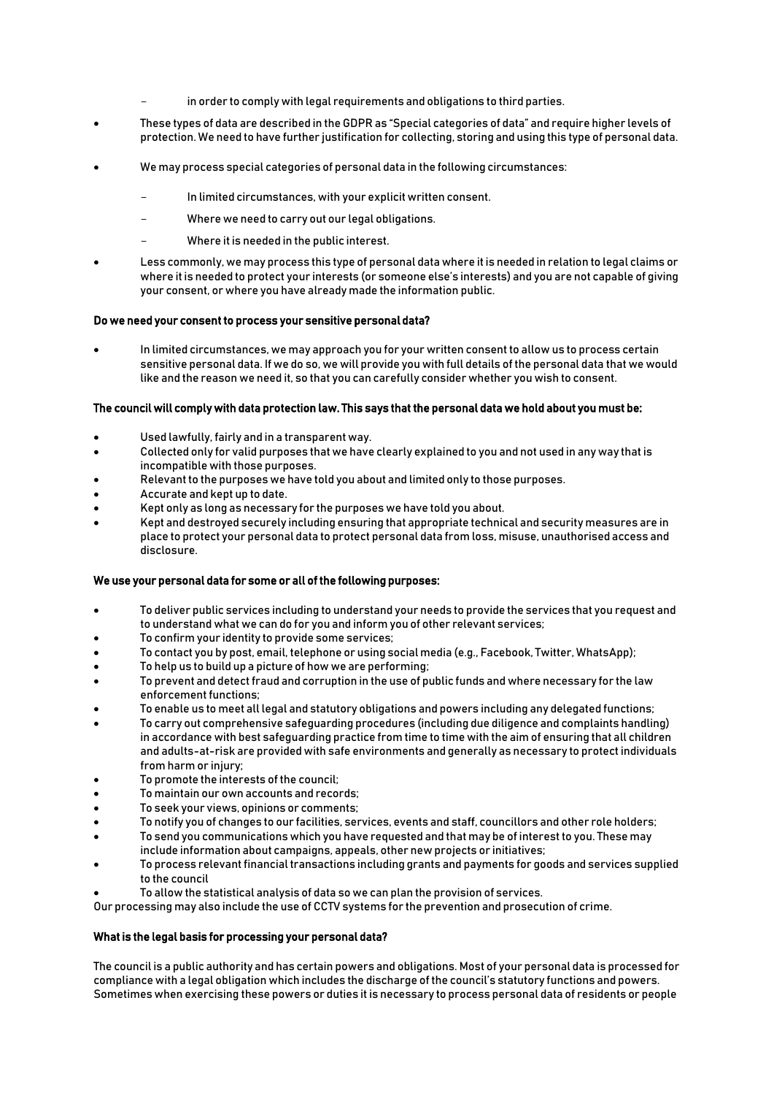- in order to comply with legal requirements and obligations to third parties.
- These types of data are described in the GDPR as "Special categories of data" and require higher levels of protection. We need to have further justification for collecting, storing and using this type of personal data.
- We may process special categories of personal data in the following circumstances:
	- In limited circumstances, with your explicit written consent.
	- Where we need to carry out our legal obligations.
	- Where it is needed in the public interest.
- Less commonly, we may process this type of personal data where it is needed in relation to legal claims or where it is needed to protect your interests (or someone else's interests) and you are not capable of giving your consent, or where you have already made the information public.

#### Do we need your consent to process your sensitive personal data?

 In limited circumstances, we may approach you for your written consent to allow us to process certain sensitive personal data. If we do so, we will provide you with full details of the personal data that we would like and the reason we need it, so that you can carefully consider whether you wish to consent.

#### The council will comply with data protection law. This says that the personal data we hold about you must be:

- Used lawfully, fairly and in a transparent way.
- Collected only for valid purposes that we have clearly explained to you and not used in any way that is incompatible with those purposes.
- Relevant to the purposes we have told you about and limited only to those purposes.
- Accurate and kept up to date.
- Kept only as long as necessary for the purposes we have told you about.
- Kept and destroyed securely including ensuring that appropriate technical and security measures are in place to protect your personal data to protect personal data from loss, misuse, unauthorised access and disclosure.

#### We use your personal data for some or all of the following purposes:

- To deliver public services including to understand your needs to provide the services that you request and to understand what we can do for you and inform you of other relevant services;
- To confirm your identity to provide some services;
- To contact you by post, email, telephone or using social media (e.g., Facebook, Twitter, WhatsApp);
- To help us to build up a picture of how we are performing;
- To prevent and detect fraud and corruption in the use of public funds and where necessary for the law enforcement functions;
- To enable us to meet all legal and statutory obligations and powers including any delegated functions;
- To carry out comprehensive safeguarding procedures (including due diligence and complaints handling) in accordance with best safeguarding practice from time to time with the aim of ensuring that all children and adults-at-risk are provided with safe environments and generally as necessary to protect individuals from harm or injury;
- To promote the interests of the council;
- To maintain our own accounts and records;
- To seek your views, opinions or comments;
- To notify you of changes to our facilities, services, events and staff, councillors and other role holders;
- To send you communications which you have requested and that may be of interest to you. These may include information about campaigns, appeals, other new projects or initiatives;
- To process relevant financial transactions including grants and payments for goods and services supplied to the council
- To allow the statistical analysis of data so we can plan the provision of services.

Our processing may also include the use of CCTV systems for the prevention and prosecution of crime.

#### What is the legal basis for processing your personal data?

The council is a public authority and has certain powers and obligations. Most of your personal data is processed for compliance with a legal obligation which includes the discharge of the council's statutory functions and powers. Sometimes when exercising these powers or duties it is necessary to process personal data of residents or people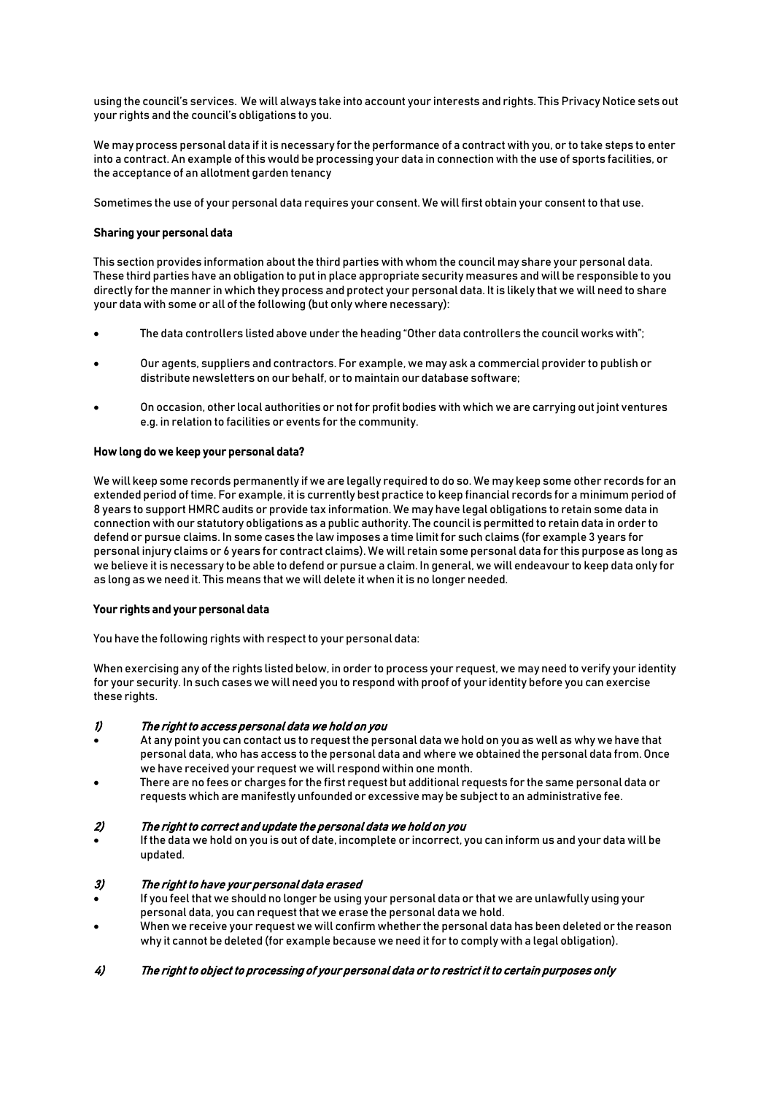using the council's services. We will always take into account your interests and rights. This Privacy Notice sets out your rights and the council's obligations to you.

We may process personal data if it is necessary for the performance of a contract with you, or to take steps to enter into a contract. An example of this would be processing your data in connection with the use of sports facilities, or the acceptance of an allotment garden tenancy

Sometimes the use of your personal data requires your consent. We will first obtain your consent to that use.

### Sharing your personal data

This section provides information about the third parties with whom the council may share your personal data. These third parties have an obligation to put in place appropriate security measures and will be responsible to you directly for the manner in which they process and protect your personal data. It is likely that we will need to share your data with some or all of the following (but only where necessary):

- The data controllers listed above under the heading "Other data controllers the council works with";
- Our agents, suppliers and contractors. For example, we may ask a commercial provider to publish or distribute newsletters on our behalf, or to maintain our database software;
- On occasion, other local authorities or not for profit bodies with which we are carrying out joint ventures e.g. in relation to facilities or events for the community.

### How long do we keep your personal data?

We will keep some records permanently if we are legally required to do so. We may keep some other records for an extended period of time. For example, it is currently best practice to keep financial records for a minimum period of 8 years to support HMRC audits or provide tax information. We may have legal obligations to retain some data in connection with our statutory obligations as a public authority. The council is permitted to retain data in order to defend or pursue claims. In some cases the law imposes a time limit for such claims (for example 3 years for personal injury claims or 6 years for contract claims). We will retain some personal data for this purpose as long as we believe it is necessary to be able to defend or pursue a claim. In general, we will endeavour to keep data only for as long as we need it. This means that we will delete it when it is no longer needed.

#### Your rights and your personal data

You have the following rights with respect to your personal data:

When exercising any of the rights listed below, in order to process your request, we may need to verify your identity for your security. In such cases we will need you to respond with proof of your identity before you can exercise these rights.

#### 1) The right to access personal data we hold on you

- At any point you can contact us to request the personal data we hold on you as well as why we have that personal data, who has access to the personal data and where we obtained the personal data from. Once we have received your request we will respond within one month.
- There are no fees or charges for the first request but additional requests for the same personal data or requests which are manifestly unfounded or excessive may be subject to an administrative fee.

# 2) The right to correct and update the personal data we hold on you

 If the data we hold on you is out of date, incomplete or incorrect, you can inform us and your data will be updated.

## 3) The right to have your personal data erased

- If you feel that we should no longer be using your personal data or that we are unlawfully using your personal data, you can request that we erase the personal data we hold.
- When we receive your request we will confirm whether the personal data has been deleted or the reason why it cannot be deleted (for example because we need it for to comply with a legal obligation).

## 4) The right to object to processing of your personal data or to restrict it to certain purposes only